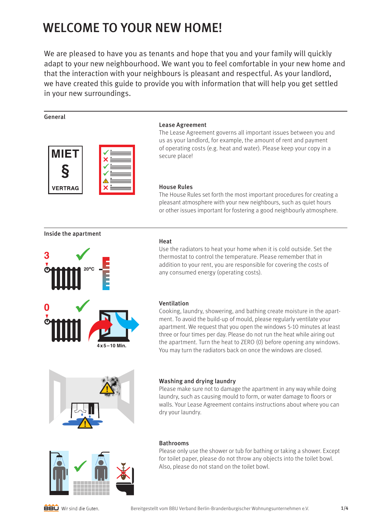# WELCOME TO YOUR NEW HOME!

We are pleased to have you as tenants and hope that you and your family will quickly adapt to your new neighbourhood. We want you to feel comfortable in your new home and that the interaction with your neighbours is pleasant and respectful. As your landlord, we have created this guide to provide you with information that will help you get settled in your new surroundings.

# General



# Lease Agreement

The Lease Agreement governs all important issues between you and us as your landlord, for example, the amount of rent and payment of operating costs (e.g. heat and water). Please keep your copy in a secure place!

# House Rules

The House Rules set forth the most important procedures for creating a pleasant atmosphere with your new neighbours, such as quiet hours or other issues important for fostering a good neighbourly atmosphere.

# Inside the apartment



# **Heat**

Use the radiators to heat your home when it is cold outside. Set the thermostat to control the temperature. Please remember that in addition to your rent, you are responsible for covering the costs of any consumed energy (operating costs).



# Ventilation

Cooking, laundry, showering, and bathing create moisture in the apartment. To avoid the build-up of mould, please regularly ventilate your apartment. We request that you open the windows 5-10 minutes at least three or four times per day. Please do not run the heat while airing out the apartment. Turn the heat to ZERO (0) before opening any windows. You may turn the radiators back on once the windows are closed.



# Washing and drying laundry

Please make sure not to damage the apartment in any way while doing laundry, such as causing mould to form, or water damage to floors or walls. Your Lease Agreement contains instructions about where you can dry your laundry.



# Bathrooms

Please only use the shower or tub for bathing or taking a shower. Except for toilet paper, please do not throw any objects into the toilet bowl. Also, please do not stand on the toilet bowl.

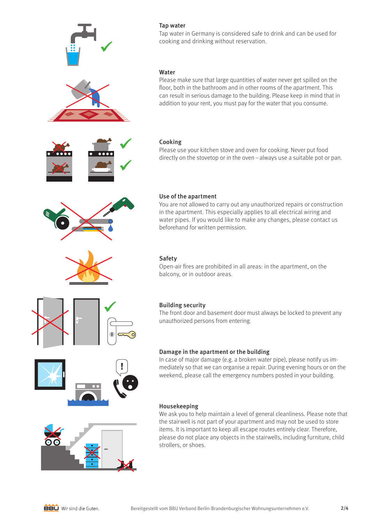

# Use of the apartment

You are not allowed to carry out any unauthorized repairs or construction in the apartment. This especially applies to all electrical wiring and water pipes. If you would like to make any changes, please contact us beforehand for written permission.

Open-air fires are prohibited in all areas: in the apartment, on the balcony, or in outdoor areas.

# Building security

The front door and basement door must always be locked to prevent any unauthorized persons from entering.

# Damage in the apartment or the building

In case of major damage (e.g. a broken water pipe), please notify us immediately so that we can organise a repair. During evening hours or on the weekend, please call the emergency numbers posted in your building.

# Housekeeping

We ask you to help maintain a level of general cleanliness. Please note that the stairwell is not part of your apartment and may not be used to store items. It is important to keep all escape routes entirely clear. Therefore, please do not place any objects in the stairwells, including furniture, child strollers, or shoes.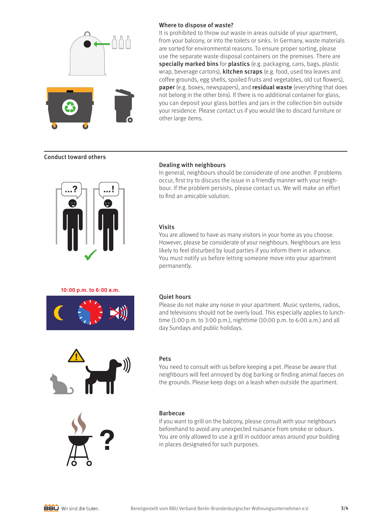

# Where to dispose of waste?

It is prohibited to throw out waste in areas outside of your apartment, from your balcony, or into the toilets or sinks. In Germany, waste materials are sorted for environmental reasons. To ensure proper sorting, please use the separate waste disposal containers on the premises. There are specially marked bins for plastics (e.g. packaging, cans, bags, plastic wrap, beverage cartons), **kitchen scraps** (e.g. food, used tea leaves and coffee grounds, egg shells, spoiled fruits and vegetables, old cut flowers), paper (e.g. boxes, newspapers), and residual waste (everything that does not belong in the other bins). If there is no additional container for glass, you can deposit your glass bottles and jars in the collection bin outside your residence. Please contact us if you would like to discard furniture or other large items.

# Conduct toward others



# Dealing with neighbours

In general, neighbours should be considerate of one another. If problems occur, first try to discuss the issue in a friendly manner with your neighbour. If the problem persists, please contact us. We will make an effort to find an amicable solution.

# Visits

You are allowed to have as many visitors in your home as you choose. However, please be considerate of your neighbours. Neighbours are less likely to feel disturbed by loud parties if you inform them in advance. You must notify us before letting someone move into your apartment permanently.

#### **10:00 p.m. to 6:00 a.m.**



## Quiet hours

Please do not make any noise in your apartment. Music systems, radios, and televisions should not be overly loud. This especially applies to lunchtime (1:00 p.m. to 3:00 p.m.), nighttime (10:00 p.m. to 6:00 a.m.) and all day Sundays and public holidays.



#### Pets

You need to consult with us before keeping a pet. Please be aware that neighbours will feel annoyed by dog barking or finding animal faeces on the grounds. Please keep dogs on a leash when outside the apartment.



## Barbecue

If you want to grill on the balcony, please consult with your neighbours beforehand to avoid any unexpected nuisance from smoke or odours. You are only allowed to use a grill in outdoor areas around your building in places designated for such purposes.